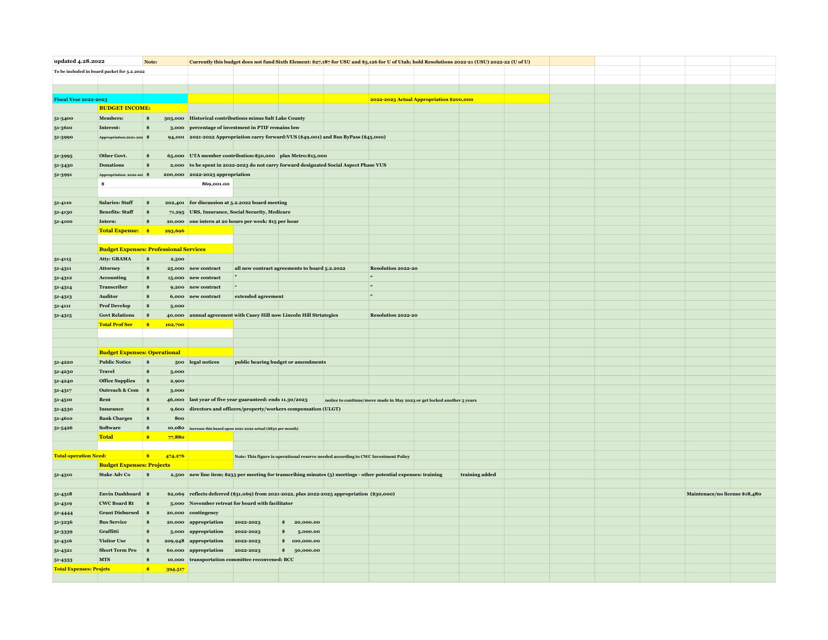| updated 4.28.2022<br>Note:                  |                                               |                         |                  | Currently this budget does not fund Sixth Element: \$27,187 for USU and \$5,126 for U of Utah; hold Resolutions 2022-21 (USU) 2022-22 (U of U) |                                                                                             |                                                                                    |  |                                                                                                                   |  |                |  |  |  |  |                                |  |
|---------------------------------------------|-----------------------------------------------|-------------------------|------------------|------------------------------------------------------------------------------------------------------------------------------------------------|---------------------------------------------------------------------------------------------|------------------------------------------------------------------------------------|--|-------------------------------------------------------------------------------------------------------------------|--|----------------|--|--|--|--|--------------------------------|--|
| To be included in board packet for 5.2.2022 |                                               |                         |                  |                                                                                                                                                |                                                                                             |                                                                                    |  |                                                                                                                   |  |                |  |  |  |  |                                |  |
|                                             |                                               |                         |                  |                                                                                                                                                |                                                                                             |                                                                                    |  |                                                                                                                   |  |                |  |  |  |  |                                |  |
|                                             |                                               |                         |                  |                                                                                                                                                |                                                                                             |                                                                                    |  |                                                                                                                   |  |                |  |  |  |  |                                |  |
| <b>Fiscal Year 2022-2023</b>                |                                               |                         |                  |                                                                                                                                                |                                                                                             |                                                                                    |  | 2022-2023 Actual Appropriation \$200,000                                                                          |  |                |  |  |  |  |                                |  |
|                                             | <b>BUDGET INCOME:</b>                         |                         |                  |                                                                                                                                                |                                                                                             |                                                                                    |  |                                                                                                                   |  |                |  |  |  |  |                                |  |
| 51-3400                                     | <b>Members:</b>                               | $\hat{\mathbf{s}}$      |                  |                                                                                                                                                | 505,000 Historical contributions minus Salt Lake County                                     |                                                                                    |  |                                                                                                                   |  |                |  |  |  |  |                                |  |
| 51-3610                                     | Interest:                                     | Ś                       |                  |                                                                                                                                                | 3,000 percentage of investment in PTIF remains low                                          |                                                                                    |  |                                                                                                                   |  |                |  |  |  |  |                                |  |
| 51-3990                                     | Appropriation:2021-202 \$                     |                         |                  |                                                                                                                                                | 94,001 2021-2022 Appropriation carry forward: VUS (\$49,001) and Bus ByPass (\$45,000)      |                                                                                    |  |                                                                                                                   |  |                |  |  |  |  |                                |  |
|                                             |                                               |                         |                  |                                                                                                                                                |                                                                                             |                                                                                    |  |                                                                                                                   |  |                |  |  |  |  |                                |  |
| 51-3995                                     | Other Govt.                                   |                         |                  |                                                                                                                                                | 65,000 UTA member contribution: \$50,000 plus Metro: \$15,000                               |                                                                                    |  |                                                                                                                   |  |                |  |  |  |  |                                |  |
| 51-3430                                     | <b>Donations</b>                              | ŝ                       |                  |                                                                                                                                                | 2,000 to be spent in 2022-2023 do not carry forward designated Social Aspect Phase VUS      |                                                                                    |  |                                                                                                                   |  |                |  |  |  |  |                                |  |
| 51-3991                                     | Appropriation: 2022-20: \$                    |                         |                  | 200,000 2022-2023 appropriation                                                                                                                |                                                                                             |                                                                                    |  |                                                                                                                   |  |                |  |  |  |  |                                |  |
|                                             | s.                                            |                         |                  | 869,001.00                                                                                                                                     |                                                                                             |                                                                                    |  |                                                                                                                   |  |                |  |  |  |  |                                |  |
|                                             |                                               |                         |                  |                                                                                                                                                |                                                                                             |                                                                                    |  |                                                                                                                   |  |                |  |  |  |  |                                |  |
| 51-4110                                     | <b>Salaries: Staff</b>                        | $\frac{1}{2}$           | 202,401          |                                                                                                                                                | for discussion at 5.2.2022 board meeting                                                    |                                                                                    |  |                                                                                                                   |  |                |  |  |  |  |                                |  |
| 51-4130                                     | <b>Benefits: Staff</b>                        |                         |                  |                                                                                                                                                | 71,295 URS, Insurance, Social Security, Medicare                                            |                                                                                    |  |                                                                                                                   |  |                |  |  |  |  |                                |  |
| 51-4100                                     | Intern:                                       |                         |                  |                                                                                                                                                | 20,000 one intern at 20 hours per week: \$15 per hour                                       |                                                                                    |  |                                                                                                                   |  |                |  |  |  |  |                                |  |
|                                             | <b>Total Expense:   \$</b>                    |                         | 293,696          |                                                                                                                                                |                                                                                             |                                                                                    |  |                                                                                                                   |  |                |  |  |  |  |                                |  |
|                                             |                                               |                         |                  |                                                                                                                                                |                                                                                             |                                                                                    |  |                                                                                                                   |  |                |  |  |  |  |                                |  |
|                                             | <b>Budget Expenses: Professional Services</b> |                         |                  |                                                                                                                                                |                                                                                             |                                                                                    |  |                                                                                                                   |  |                |  |  |  |  |                                |  |
| 51-4113                                     | <b>Atty: GRAMA</b>                            | $\mathbf{s}$            | 2,500            |                                                                                                                                                |                                                                                             |                                                                                    |  |                                                                                                                   |  |                |  |  |  |  |                                |  |
| 51-4311                                     | Attorney                                      |                         |                  | 25,000 new contract                                                                                                                            |                                                                                             | all new contract agreements to board 5.2.2022                                      |  | Resolution 2022-20                                                                                                |  |                |  |  |  |  |                                |  |
| 51-4312                                     | Accounting                                    |                         | 15,000           | new contract                                                                                                                                   |                                                                                             |                                                                                    |  |                                                                                                                   |  |                |  |  |  |  |                                |  |
| 51-4314                                     | Transcriber                                   |                         |                  | 9,200 new contract                                                                                                                             |                                                                                             |                                                                                    |  | $\mathbf{H}$                                                                                                      |  |                |  |  |  |  |                                |  |
| $51 - 4313$                                 | <b>Auditor</b>                                |                         |                  | 6,000 new contract                                                                                                                             | extended agreement                                                                          |                                                                                    |  | $\cdot$                                                                                                           |  |                |  |  |  |  |                                |  |
| 51-4111                                     | <b>Prof Develop</b>                           |                         | 5,000            |                                                                                                                                                |                                                                                             |                                                                                    |  |                                                                                                                   |  |                |  |  |  |  |                                |  |
| 51-4315                                     | <b>Govt Relations</b>                         | $\mathbf{s}$            |                  |                                                                                                                                                | 40,000 annual agreement with Casey Hill now Lincoln Hill Strtategies                        |                                                                                    |  | <b>Resolution 2022-20</b>                                                                                         |  |                |  |  |  |  |                                |  |
|                                             | <b>Total Prof Ser</b>                         | <b>s</b>                | 102,700          |                                                                                                                                                |                                                                                             |                                                                                    |  |                                                                                                                   |  |                |  |  |  |  |                                |  |
|                                             |                                               |                         |                  |                                                                                                                                                |                                                                                             |                                                                                    |  |                                                                                                                   |  |                |  |  |  |  |                                |  |
|                                             |                                               |                         |                  |                                                                                                                                                |                                                                                             |                                                                                    |  |                                                                                                                   |  |                |  |  |  |  |                                |  |
|                                             | <b>Budget Expenses: Operational</b>           |                         |                  |                                                                                                                                                |                                                                                             |                                                                                    |  |                                                                                                                   |  |                |  |  |  |  |                                |  |
| 51-4220                                     | <b>Public Notice</b>                          | $\hat{\mathbf{s}}$      |                  | 500 legal notices                                                                                                                              |                                                                                             | public hearing budget or amendments                                                |  |                                                                                                                   |  |                |  |  |  |  |                                |  |
| 51-4230                                     | <b>Travel</b>                                 | Ś.                      | 5,000            |                                                                                                                                                |                                                                                             |                                                                                    |  |                                                                                                                   |  |                |  |  |  |  |                                |  |
| 51-4240                                     | <b>Office Supplies</b>                        | $\frac{1}{2}$           | 2,900            |                                                                                                                                                |                                                                                             |                                                                                    |  |                                                                                                                   |  |                |  |  |  |  |                                |  |
| 51-4317                                     | <b>Outreach &amp; Com</b>                     | $\overline{\mathbf{s}}$ | 3.000            |                                                                                                                                                |                                                                                             |                                                                                    |  |                                                                                                                   |  |                |  |  |  |  |                                |  |
| 51-4510                                     | Rent                                          |                         | 46,000           |                                                                                                                                                | last year of five year guaranteed: ends 11.30/2023                                          |                                                                                    |  | notice to continue/move made in May 2023 or get locked another 5 years                                            |  |                |  |  |  |  |                                |  |
| 51-4530                                     | Insurance                                     |                         | 9,600            |                                                                                                                                                | directors and officers/property/workers compensation (ULGT)                                 |                                                                                    |  |                                                                                                                   |  |                |  |  |  |  |                                |  |
| 51-4610                                     | <b>Bank Charges</b>                           | $\mathbf{S}$            | 800              |                                                                                                                                                |                                                                                             |                                                                                    |  |                                                                                                                   |  |                |  |  |  |  |                                |  |
|                                             |                                               |                         |                  |                                                                                                                                                |                                                                                             |                                                                                    |  |                                                                                                                   |  |                |  |  |  |  |                                |  |
| 51-5426                                     | Software<br><b>Total</b>                      | $\bullet$               | 10,080<br>77,880 |                                                                                                                                                | increase this based upon 2021-2022 actual (\$830 per month)                                 |                                                                                    |  |                                                                                                                   |  |                |  |  |  |  |                                |  |
|                                             |                                               |                         |                  |                                                                                                                                                |                                                                                             |                                                                                    |  |                                                                                                                   |  |                |  |  |  |  |                                |  |
|                                             |                                               |                         |                  |                                                                                                                                                |                                                                                             |                                                                                    |  |                                                                                                                   |  |                |  |  |  |  |                                |  |
| <b>Total operation Need:</b>                | <b>Budget Expenses: Projects</b>              | $\bullet$               | 474,276          |                                                                                                                                                |                                                                                             | Note: This figure is operational reserve needed according to CWC Investment Policy |  |                                                                                                                   |  |                |  |  |  |  |                                |  |
|                                             |                                               |                         |                  |                                                                                                                                                |                                                                                             |                                                                                    |  |                                                                                                                   |  |                |  |  |  |  |                                |  |
| 51-4310                                     | <b>Stake Adv Co</b>                           | $\hat{\mathbf{s}}$      |                  |                                                                                                                                                |                                                                                             |                                                                                    |  | 2,500 new line item; \$235 per meeting for transcribing minutes (5) meetings - other potential expenses: training |  | training added |  |  |  |  |                                |  |
|                                             |                                               |                         |                  |                                                                                                                                                |                                                                                             |                                                                                    |  |                                                                                                                   |  |                |  |  |  |  |                                |  |
| 51-4318                                     | Envin Dashboard \$                            |                         |                  |                                                                                                                                                | 62,069 reflects deferred (\$31,069) from 2021-2022, plus 2022-2023 appropriation (\$30,000) |                                                                                    |  |                                                                                                                   |  |                |  |  |  |  | Maintenace/no license \$18,480 |  |
| 51-4319                                     | <b>CWC Board Rt</b>                           |                         |                  |                                                                                                                                                | 5,000 November retreat for board with facilitator                                           |                                                                                    |  |                                                                                                                   |  |                |  |  |  |  |                                |  |
| 51-4444                                     | <b>Grant Disbursed</b>                        |                         | 20,000           | contingency                                                                                                                                    |                                                                                             |                                                                                    |  |                                                                                                                   |  |                |  |  |  |  |                                |  |
| 51-3236                                     | <b>Bus Service</b>                            |                         |                  | 20,000 appropriation                                                                                                                           | 2022-2023                                                                                   | 20,000.00<br>Ś.                                                                    |  |                                                                                                                   |  |                |  |  |  |  |                                |  |
| 51-3339                                     | Graffitti                                     |                         |                  | 5,000 appropriation                                                                                                                            | 2022-2023                                                                                   | 5,000.00<br>Ś.                                                                     |  |                                                                                                                   |  |                |  |  |  |  |                                |  |
| 51-4316                                     | <b>Visitor Use</b>                            |                         | 209,948          | appropriation                                                                                                                                  | 2022-2023                                                                                   | 100,000.00<br>\$                                                                   |  |                                                                                                                   |  |                |  |  |  |  |                                |  |
| 51-4321                                     | <b>Short Term Pro</b>                         |                         |                  | 60,000 appropriation                                                                                                                           | 2022-2023                                                                                   | \$ 50,000.00                                                                       |  |                                                                                                                   |  |                |  |  |  |  |                                |  |
| 51-4333                                     | <b>MTS</b>                                    |                         | 10,000           |                                                                                                                                                | transportation committee reconvened: BCC                                                    |                                                                                    |  |                                                                                                                   |  |                |  |  |  |  |                                |  |
| <b>Total Expenses: Projets</b>              |                                               | $\mathbf{s}$            | 394,517          |                                                                                                                                                |                                                                                             |                                                                                    |  |                                                                                                                   |  |                |  |  |  |  |                                |  |
|                                             |                                               |                         |                  |                                                                                                                                                |                                                                                             |                                                                                    |  |                                                                                                                   |  |                |  |  |  |  |                                |  |